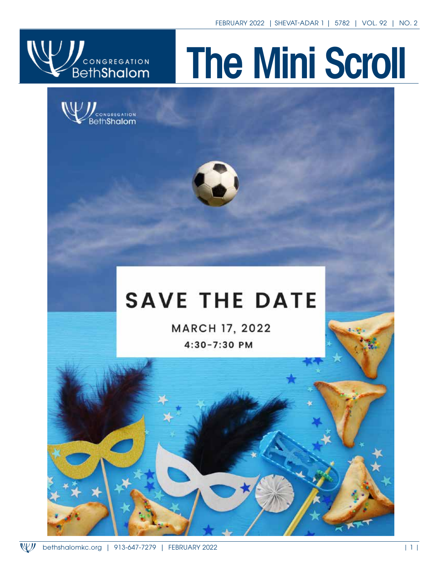

# The Mini Scroll





## **SAVE THE DATE**

**MARCH 17, 2022** 4:30-7:30 PM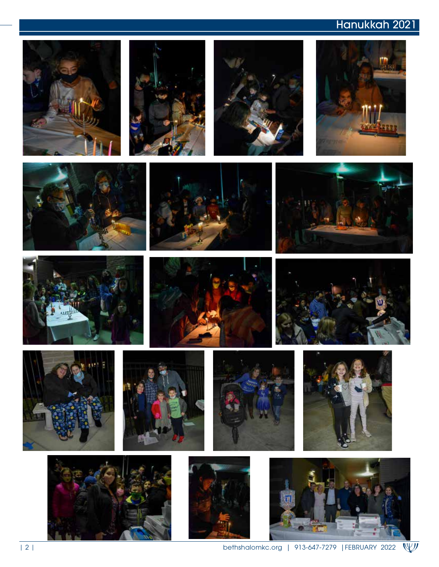### swajcman@gmail.com Hanukkah 2021

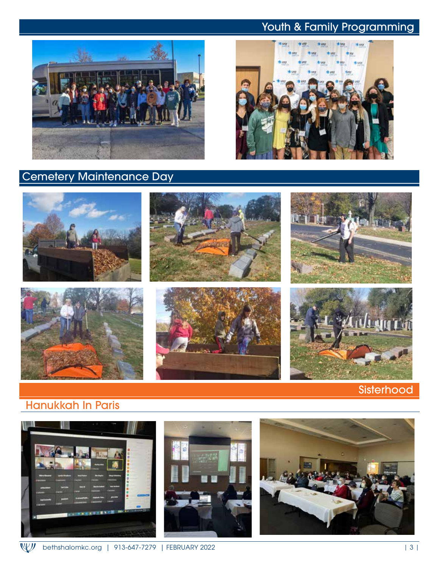#### Youth & Family Programming



### Cemetery Maintenance Day





#### Hanukkah In Paris

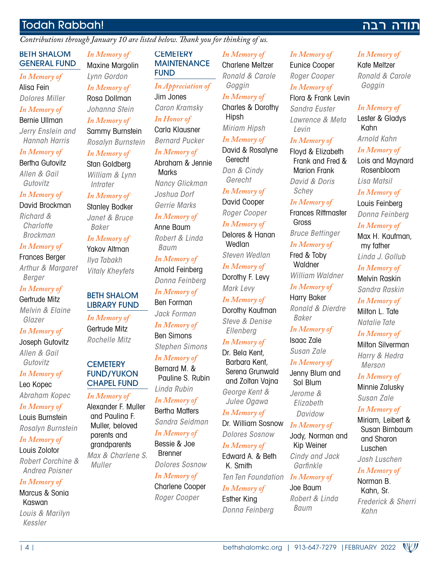#### Todah Rabbah!

*Contributions through January 10 are listed below. Thank you for thinking of us.*

#### BETH SHALOM GENERAL FUND

#### *In Memory of*

Alisa Fein *Dolores Miller*

#### *In Memory of* Bernie Ullman

*Jerry Enslein and Hannah Harris*

#### *In Memory of*

Bertha Gutovitz *Allen & Gail Gutovitz*

#### *In Memory of* David Brockman

*Richard & Charlotte Brockman*

#### *In Memory of*

Frances Berger *Arthur & Margaret Berger*

#### *In Memory of* Gertrude Mitz

*Melvin & Elaine Glazer*

#### *In Memory of* Joseph Gutovitz *Allen & Gail Gutovitz*

*In Memory of* Leo Kopec *Abraham Kopec*

#### *In Memory of*

Louis Burnstein *Rosalyn Burnstein*

#### *In Memory of*

Louis Zolotor *Robert Corchine & Andrea Poisner*

#### *In Memory of*

Marcus & Sonia Kaswan *Louis & Marilyn Kessler*

*In Memory of* Maxine Margolin *Lynn Gordon In Memory of* Rosa Dollman *Johanna Stein In Memory of* Sammy Burnstein *Rosalyn Burnstein In Memory of*

#### Stan Goldberg *William & Lynn Intrater*

#### *In Memory of*

Stanley Bodker *Janet & Bruce Baker*

#### *In Memory of* Yakov Altman *Ilya Tabakh Vitaly Kheyfets*

#### BETH SHALOM LIBRARY FUND

*In Memory of* Gertrude Mitz *Rochelle Mitz*

#### **CEMETERY** FUND/YUKON CHAPEL FUND

#### *In Memory of*

Alexander F. Muller and Paulina F. Muller, beloved parents and grandparents *Max & Charlene S. Muller*

#### **CEMETERY MAINTENANCE** FUND

*In Appreciation of* Jim Jones *Caron Kramsky In Honor of* Carla Klausner

*Bernard Pucker In Memory of* Abraham & Jennie **Marks** *Nancy Glickman*

*Joshua Dorf Gerrie Marks*

*In Memory of* Anne Baum *Robert & Linda* 

*Baum In Memory of* Arnold Feinberg *Donna Feinberg In Memory of* Ben Forman *Jack Forman In Memory of* Ben Simons

*Stephen Simons*

#### *In Memory of*

Bernard M. & Pauline S. Rubin *Linda Rubin In Memory of*

Bertha Matters *Sandra Seidman*

#### *In Memory of* Bessie & Joe Brenner

*Dolores Sosnow*

#### *In Memory of*

Charlene Cooper *Roger Cooper*

| 4 | bethshalomkc.org | 913-647-7279 |FEBRUARY 2022

#### *In Memory of* Charlene Meltzer *Ronald & Carole*

*Goggin In Memory of* Charles & Dorothy

Hipsh *Miriam Hipsh*

*In Memory of* David & Rosalyne

**Gerecht** *Dan & Cindy Gerecht*

*In Memory of*

#### David Cooper *Roger Cooper In Memory of*

Delores & Hanan **Wedlan** *Steven Wedlan In Memory of*

Dorothy F. Levy *Mark Levy*

#### *In Memory of* Dorothy Kaufman

*Steve & Denise Ellenberg*

#### *In Memory of*

Dr. Bela Kent, Barbara Kent, Serena Grunwald and Zoltan Vajna *George Kent & Julee Ogawa*

*In Memory of* Dr. William Sosnow

*Dolores Sosnow In Memory of*

Edward A. & Beth K. Smith *Ten Ten Foundation In Memory of*

*In Memory of* Esther King *Donna Feinberg*

#### *In Memory of* Eunice Cooper *Roger Cooper In Memory of* Flora & Frank Levin *Sandra Euster Lawrence & Meta*

#### *In Memory of*

*Levin*

Floyd & Elizabeth Frank and Fred & Marion Frank *David & Doris Schey*

*In Memory of*

Frances Rittmaster Gross *Bruce Bettinger*

*In Memory of* Fred & Toby

**Waldner** *William Waldner*

*In Memory of*

Harry Baker *Ronald & Dierdre Baker*

*In Memory of* Isaac Zale *Susan Zale*

*In Memory of* Jenny Blum and Sol Blum *Jerome & Elizabeth Davidow*

#### *In Memory of*

Jody, Norman and Kip Weiner *Cindy and Jack Garfinkle*

Joe Baum *Robert & Linda Baum*

#### *In Memory of*

Kate Meltzer *Ronald & Carole Goggin*

נודה רבה

#### *In Memory of*

Lester & Gladys Kahn *Arnold Kahn In Memory of* Lois and Maynard Rosenbloom

#### *Lisa Matsil*

*In Memory of* Louis Feinberg

*Donna Feinberg*

#### *In Memory of*

Max H. Kaufman, my father *Linda J. Gollub*

#### *In Memory of*

Melvin Raskin *Sandra Raskin*

*In Memory of* Milton L. Tate

*Natalie Tate In Memory of* Milton Silverman

*Harry & Hedra Merson*

#### *In Memory of* Minnie Zalusky

*Susan Zale*

#### *In Memory of*

Miriam, Leibert & Susan Birnbaum and Sharon Luschen

*Josh Luschen In Memory of*

Norman B. Kahn, Sr.

*Frederick & Sherri Kahn*

W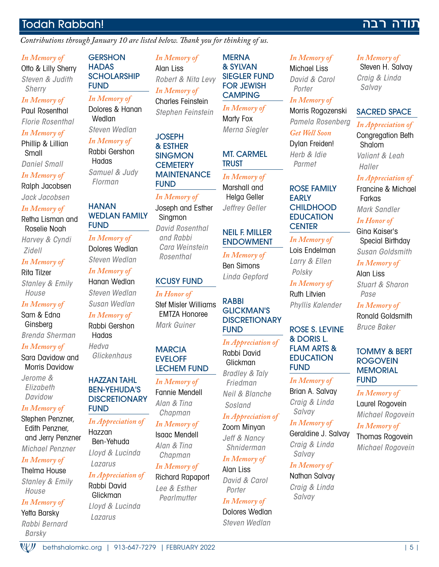#### Todah Rabbah!

#### *Contributions through January 10 are listed below. Thank you for thinking of us.*

#### *In Memory of*

Otto & Lilly Sherry *Steven & Judith Sherry In Memory of*

Paul Rosenthal *Florie Rosenthal*

#### *In Memory of*

Phillip & Lillian Small *Daniel Small*

#### *In Memory of*

Ralph Jacobsen

*Jack Jacobsen*

#### *In Memory of*

Retha Lisman and Roselie Noah *Harvey & Cyndi Zidell*

*In Memory of*

#### Rita Tilzer *Stanley & Emily House*

*In Memory of*

Sam & Edna Ginsberg

*Brenda Sherman*

#### *In Memory of*

Sara Davidow and Morris Davidow

*Jerome & Elizabeth Davidow*

#### *In Memory of*

Stephen Penzner, Edith Penzner, and Jerry Penzner

#### *Michael Penzner*

#### *In Memory of*

Thelma House *Stanley & Emily House*

#### *In Memory of*

Yetta Barsky *Rabbi Bernard Barsky*

 $\mathbb{W}$ 

**GERSHON HADAS SCHOLARSHIP** FUND

*In Memory of* Dolores & Hanan Wedlan *Steven Wedlan*

*In Memory of*

Rabbi Gershon **Hadas** *Samuel & Judy Florman*

#### **HANAN** WEDLAN FAMILY FUND

*In Memory of* Dolores Wedlan *Steven Wedlan*

*In Memory of* Hanan Wedlan *Steven Wedlan Susan Wedlan*

#### *In Memory of*

Rabbi Gershon Hadas *Hedva Glickenhaus*

#### HAZZAN TAHL BEN-YEHUDA'S **DISCRETIONARY** FUND

*In Appreciation of* Hazzan Ben-Yehuda *Lloyd & Lucinda Lazarus In Appreciation of*

#### Rabbi David Glickman

*Lloyd & Lucinda Lazarus*

*In Memory of* Alan Liss *Robert & Nita Levy In Memory of* Charles Feinstein *Stephen Feinstein*

**MERNA** & SYLVAN SIEGLER FUND FOR JEWISH **CAMPING** *In Memory of* Marty Fox *Merna Siegler*

MT. CARMEL

*In Memory of* Marshall and Helga Geller *Jeffrey Geller*

NEIL F. MILLER ENDOWMENT *In Memory of* Ben Simons *Linda Gepford*

RABBI

FUND

 *Sosland*

GLICKMAN'S **DISCRETIONARY** 

*In Appreciation of* Rabbi David Glickman *Bradley & Taly Friedman Neil & Blanche*

*In Appreciation of* Zoom Minyan *Jeff & Nancy* 

TRUST

**JOSEPH** & ESTHER **SINGMON CEMETERY** MAINTENANCE FUND

#### *In Memory of* Joseph and Esther

**Singmon** *David Rosenthal and Rabbi Cara Weinstein Rosenthal*

#### KCUSY FUND

*In Honor of* Stef Misler Williams EMTZA Honoree *Mark Guiner*

#### **MARCIA** EVELOFF LECHEM FUND

*In Memory of* Fannie Mendell *Alan & Tina* 

*In Memory of Chapman*

Richard Rapaport

bethshalomkc.org | 913-647-7279 | FEBRUARY 2022 | 5 |

#### *In Memory of* Michael Liss *Porter In Memory of*

Morris Rogozenski *Pamela Rosenberg Get Well Soon* 

*Herb & Idie Parmet*

#### ROSE FAMILY EARLY **CHILDHOOD EDUCATION CENTER**

#### *In Memory of*

Lois Endelman *Larry & Ellen Polsky*

*In Memory of* Ruth Litvien *Phyllis Kalender*

#### ROSE S. LEVINE & DORIS L. FLAM ARTS & EDUCATION FUND

*In Memory of*

#### Brian A. Salvay *Craig & Linda Salvay*

*In Memory of* Geraldine J. Salvay *Craig & Linda Salvay*

#### *In Memory of*

Nathan Salvay *Craig & Linda Salvay*

#### *In Memory of*

נודה רבה

Steven H. Salvay *Craig & Linda Salvay* 

#### SACRED SPACE

#### *In Appreciation of*

Congregation Beth Shalom *Valiant & Leah Haller*

#### *In Appreciation of*

Francine & Michael Farkas *Mark Sandler*

#### *In Honor of*

Gina Kaiser's Special Birthday *Susan Goldsmith*

#### *In Memory of*

Alan Liss *Stuart & Sharon Pase*

#### *In Memory of* Ronald Goldsmith *Bruce Baker*

#### TOMMY & BERT **ROGOVEIN MEMORIAL**

*In Memory of Michael Rogovein*

Thomas Rogovein

FUND

Laurel Rogovein

#### *In Memory of*

*Michael Rogovein*

## *Chapman* Isaac Mendell *Alan & Tina In Memory of*

*Lee & Esther Pearlmutter*

*Shniderman In Memory of* Alan Liss

*David & Carol Porter* 

## *In Memory of*

Dolores Wedlan *Steven Wedlan*

*David & Carol* 

Dylan Freiden!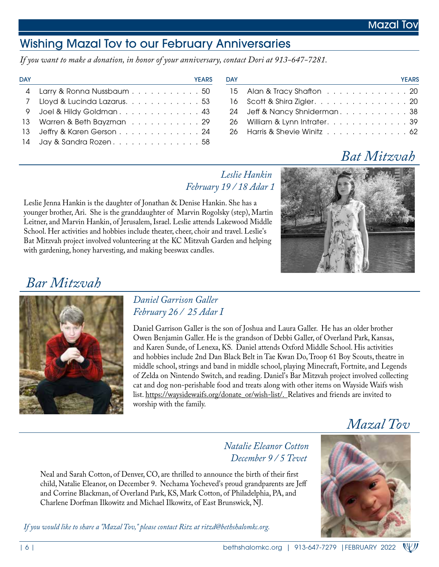### Wishing Mazal Tov to our February Anniversaries

*If you want to make a donation, in honor of your anniversary, contact Dori at 913-647-7281.*

| <b>DAY</b> | <b>YEARS</b>                  | <b>DAY</b> | <b>YEARS</b>                   |
|------------|-------------------------------|------------|--------------------------------|
|            | 4 Larry & Ronna Nussbaum 50   |            | 15 Alan & Tracy Shafton 20     |
|            | 7 Lloyd & Lucinda Lazarus. 53 |            | 16 Scott & Shira Zigler. 20    |
|            | 9 Joel & Hildy Goldman 43     |            | 24 Jeff & Nancy Shniderman38   |
|            | 13 Warren & Beth Bayzman 29   |            | 26 William & Lynn Intrater. 39 |
|            | 13 Jeffry & Karen Gerson 24   |            | 26 Harris & Shevie Winitz 62   |
|            | 14 Jay & Sandra Rozen. 58     |            |                                |

| ۱A۷ | <b>YEARS</b>                               |
|-----|--------------------------------------------|
|     | 15 Alan & Tracy Shafton 20                 |
|     | 16 Scott & Shira Zigler. 20                |
|     | 24 Jeff & Nancy Shniderman38               |
|     | 26 William & Lynn Intrater. 39             |
|     | 26  Harris & Shevie Winitz .............62 |

## *Bat Mitzvah*

 *Leslie Hankin February 19 / 18 Adar 1*

Leslie Jenna Hankin is the daughter of Jonathan & Denise Hankin. She has a younger brother, Ari. She is the granddaughter of Marvin Rogolsky (step), Martin Leitner, and Marvin Hankin, of Jerusalem, Israel. Leslie attends Lakewood Middle School. Her activities and hobbies include theater, cheer, choir and travel. Leslie's Bat Mitzvah project involved volunteering at the KC Mitzvah Garden and helping with gardening, honey harvesting, and making beeswax candles.



## *Bar Mitzvah*



*Daniel Garrison Galler February 26 / 25 Adar I*

Daniel Garrison Galler is the son of Joshua and Laura Galler. He has an older brother Owen Benjamin Galler. He is the grandson of Debbi Galler, of Overland Park, Kansas, and Karen Sunde, of Lenexa, KS. Daniel attends Oxford Middle School. His activities and hobbies include 2nd Dan Black Belt in Tae Kwan Do, Troop 61 Boy Scouts, theatre in middle school, strings and band in middle school, playing Minecraft, Fortnite, and Legends of Zelda on Nintendo Switch, and reading. Daniel's Bar Mitzvah project involved collecting cat and dog non-perishable food and treats along with other items on Wayside Waifs wish list. https://waysidewaifs.org/donate\_or/wish-list/. Relatives and friends are invited to worship with the family.

 *Mazal Tov*



 *Natalie Eleanor Cotton December 9 / 5 Tevet*

Neal and Sarah Cotton, of Denver, CO, are thrilled to announce the birth of their first child, Natalie Eleanor, on December 9. Nechama Yocheved's proud grandparents are Jeff and Corrine Blackman, of Overland Park, KS, Mark Cotton, of Philadelphia, PA, and Charlene Dorfman Ilkowitz and Michael Ilkowitz, of East Brunswick, NJ.

*If you would like to share a "Mazal Tov," please contact Ritz at ritzd@bethshalomkc.org.*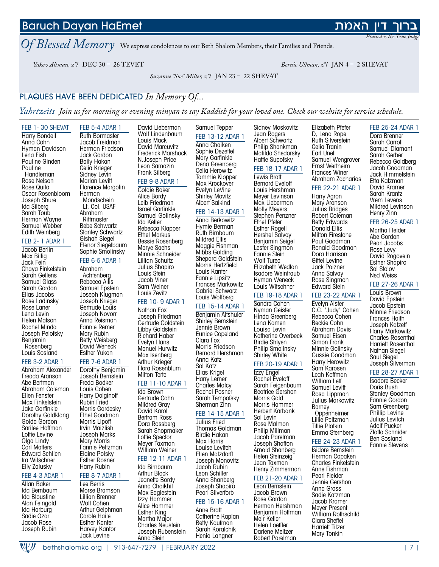#### Anna Stein Wリ bethshalomkc.org | 913-647-7279 | FEBRUARY 2022 | 7 |

Baruch Dayan HaEmet

*Of Blessed Memory* We express condolences to our Beth Shalom Members, their Families and Friends.

*Yakov Altman, z"l* DEC 30 – 26 TEVET *Bernie Ullman, z"l* JAN 4 – 2 SHEVAT

*Suzanne "Sue" Miller, z"l* JAN 23 – 22 SHEVAT

#### PLAQUES HAVE BEEN DEDICATED *In Memory Of...*

FEB 5-4 ADAR 1

*Yahrtzeits Join us for morning or evening minyan to say Kaddish for your loved one. Check our website for service schedule.*

#### Harry Bondell Anna Cohn Hyman Davidson Lena Fish Pauline Ginden Pauline Handleman Rose Nelson Rose Quito Oscar Rosenbloom Joseph Shure Ida Silberg Sarah Toub Herman Wayne Samuel Webber Edith Weinberg

FEB 1- 30 SHEVAT

#### FEB 2- 1 ADAR 1

Jacob Berlin Max Billig Jack Fein Chaya Finkelstein Sarah Gellens Samuel Glass Sarah Gordon Elias Jacobs Rose Ladinsky Rose Laner Lena Levin Helen Matson Rachel Minda Joseph Pelofsky Benjamin Rosenberg Louis Sosland

#### FEB 3-2 ADAR 1

Abraham Alexander Freada Aranson Abe Bertman Abraham Coleman Ellen Fenster Max Finkelstein Jake Garfinkle Dorothy Goldklang Golda Gordon Sarilee Hoffman Lottie Levine Olga Lindy Carl Matters Edward Schlien Ira Witschner Elly Zalusky

#### FEB 4-3 ADAR 1

Allan Baker Ida Bernbaum Ida Bloustine Alan Feingold Ida Harburg Sadie Ozar Jacob Rose Joseph Rubin

Ruth Bormaster Jacob Freidman Herman Friedson Jack Gordon Baily Hakan Celia Krieger Sidney Levin Marian Levitt Florence Margolin Herman Mondschein Lt. Col. USAF Abraham **Rittmaster** Bebe Schwartz Stanley Schwartz Gishah Siegel Elenor Siegelbaum Sophie Smolinsky FEB 6-5 ADAR 1 Abraham

Achtenberg Rebecca Allis Samuel Epstein Joseph Klugman Joseph Krieger Gertrude Louis Joseph Novorr Anna Reisman Fannie Remer Mary Rubin Betty Weisberg David Weneck Esther Yukon

#### FEB 7-6 ADAR 1

Dorothy Benjamin Joseph Bernstein Freda Bodker Louis Cohen Harry Dolginoff Rubin Fried Morris Gardesky Ethel Goodman Morris Lipoff Irvin Maizlish Joseph Marks Mary Morris Fannie Peltzman Elaine Polsky Esther Rosner Harry Rubin

#### FEB 8-7 ADAR 1

Lee Berris Morse Bramson Lillian Brenner Wolf Cohen Arthur Gelphman Carole Haile Esther Kanter Harvey Kantor Jack Levine

David Lieberman Wolf Lindenbaum Louis Mack David Marcuvitz Frederick Marshock N.Joseph Price Leon Samazin Frank Silberg FEB 9-8 ADAR 1 Goldie Baker Alice Bordy Leib Friedman Israel Garfinkle

Samuel Golinsky Ida Keller Rebecca Klapper Ethel Markus Bessie Rosenberg Marye Sachs Minnie Schneider Lillian Schultz Julius Shapiro Louis Stein Jacob Viner Sam Weiner

#### Louis Zevitz FEB 10- 9 ADAR 1

Nathan Fox Joseph Friedman Gertrude Goldstein Libby Goldstein Richard Haber Evelyn Hans Manuel Hurwitz Max Isenberg Arthur Krieger Flora Rosenblum Milton Terte

#### FEB 11-10 ADAR 1

Ida Brown Gertrude Cohn Mildred Gray David Karol Bertram Ross Dora Rossberg Sarah Shopmaker Lottie Spector Meyer Taxman William Weiner

#### FEB 12-11 ADAR 1 Ida Birnbaum

Arthur Block Jeanette Bordy Anna Choikhit Max Eaglestein Izzy Hammer Alice Hammer Esther King Martha Major Charles Neustein Joseph Rubenstein Samuel Tepper FEB 13-12 ADAR 1 Anna Chaiken Sophie Dezettel Mary Garfinkle Dena Greenberg Celia Herowitz Tammie Klopper Max Krockover Evelyn LeVine Shirley Movitz Albert Salkind

#### FEB 14-13 ADAR 1

Anna Berkowitz Hymie Berman Ruth Birnbaum Mildred Ellis Maggie Fishman Mibbs Golding Shepard Goldstein Morris Hertzfield Louis Kanter Fannie Lipsitz Frances Markowitz Gabriel Schwarz Louis Wolfberg

#### FEB 15-14 ADAR 1

Benjamin Altshuler Shirley Bernstein Jennie Brown Eunice Copeland Clara Fox Morris Friedson Bernard Hershman Anna Katz Sol Katz Elias Krigel Harry Lerner Charles Malcy Rachel Posner Sarah Tempofsky Sherman Zinn

#### FEB 14-15 ADAR 1

Julius Fried Thomas Goldman Birdie Hakan Max Harris Louise Levitch Ellen Matzdorff Joseph Monovitz Jacob Rubin Leon Schiller Anna Shanberg Joseph Shapiro Pearl Silverforb

#### FEB 15-16 ADAR 1

Anne Bratt Catherine Kaplan Betty Kaufman Sarah Koralchik Henia Langner

Sidney Moskovitz Jean Rogers Albert Schwartz Philip Shankman Matilda Shedorsky Hattie Supofsky

#### FEB 18-17 ADAR 1

Bernard Eveloff Louis Hershman Meyer Levinson Max Lieberman Molly Meyers Stephen Penzner Ethel Pfefer Esther Rogell Hershel Salvay Benjamin Seigel Lester Singmon Fannie Stein Wolf Turec Elizabeth Wedlan Isadore Weintraub Hyman Weneck Louis Witschner

#### FEB 19-18 ADAR 1

Sandra Cohen Nyman Geister Hinda Greenberg Lena Kamen Louisa Levin Katherine Overbeck Birdie Shlyen Philip Smolinsky Shirley White

#### FEB 20-19 ADAR 1

Izzy Engel Rachel Eveloff Sarah Feigenbaum Beatrice Gershon Morris Gold Morris Hammer Herbert Karbank Sol Levin Rose Malmon Philip Millman Jacob Parelman Joseph Shafton Arnold Shanberg Helen Steinzeig Jean Taxman Henry Zimmerman

#### FEB 21-20 ADAR 1

Leon Bernstein Jacob Brown Rose Gordon Herman Hershman Benjamin Hoffman Meir Keller Helen Loeffler Darlene Meltzer Robert Parelman

D, Lena Rope Ruth Silverstein Celia Tranin Earl Unell Samuel Wengrover Ernst Wertheim Frances Winer Abraham Zacharias

Elizabeth Pfefer

#### FEB 22-21 ADAR 1

Mary Aronson Julius Bridges Robert Coleman Betty Edwards Milton Firestone Paul Goodman Ronald Goodman Dora Harrison Anna Salvay Rose Singmon

#### FEB 23-22 ADAR 1

Edward Stein

Evelyn Alster C.C. "Judy" Cohen Rebecca Cohen Beckie Cohn Abraham Davis Samuel Eisen Simon Frank Minnie Golinsky Gussie Goodman Harry Herowitz Sam Karosen Leah Koffman William Leff Samuel Levitt Rosa Lippman Julius Markowitz Barney **Oppenheimer** Lillie Peltzman Tillie Plotkin

FEB 24-23 ADAR 1

Isidore Bernstein Herman Copaken Charles Finkelstein Anne Fishman Pearl Fleider Jennie Gershon Anna Gross Sadie Katzman Jacob Kramer Meyer Present William Rothschild Clara Sheftel Harriett Tilzer Mary Tonkin

#### FEB 25-24 ADAR 1 Dora Brenner

Sarah Carroll Samuel Diamant Sarah Gerber Rebecca Goldberg Jacob Goodman Jack Himmelstein Etta Katzman David Kramer Sarah Krantz Vrem Levens Mildred Levinson Henry Zinn

#### FEB 26-25 ADAR 1

Martha Fleider Abe Gordon Pearl Jacobs Rose Levy David Rogovein Esther Shapiro Sol Stolov Ned Weiss

#### FEB 27-26 ADAR 1

Louis Brown David Epstein Jacob Epstein Minnie Friedson Frances Haith Joseph Katzeff Harry Markowitz Charles Rosenthal Harriett Rosenthal Nathan Siegel Saul Siegel Joseph Silverman

#### FEB 28-27 ADAR 1

Isadore Becker Doris Bush Stanley Goodman Fannie Gordon Sam Greenberg Phillip Levine Julius Levitch Adolf Pucker Zlotta Schnider Ben Sosland Fannie Stevens

Emma Sternberg



*Praised is the True Judge* 

Lewis Bratt Harry Agron

Donald Ellis

Gittel Levine Jack Poizner